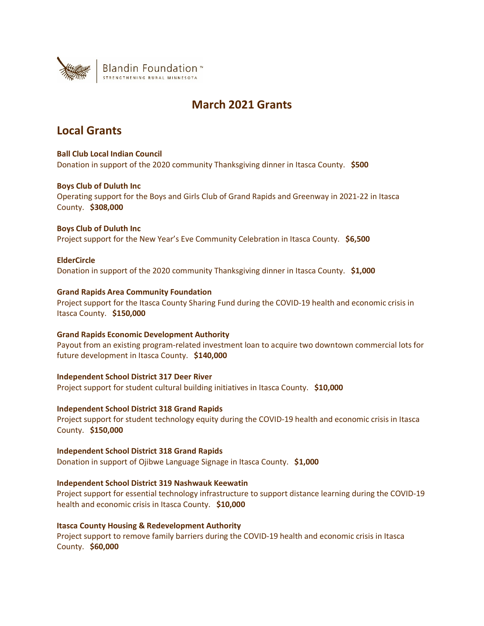

# **March 2021 Grants**

## **Local Grants**

**Ball Club Local Indian Council** Donation in support of the 2020 community Thanksgiving dinner in Itasca County. **\$500**

## **Boys Club of Duluth Inc**

Operating support for the Boys and Girls Club of Grand Rapids and Greenway in 2021-22 in Itasca County. **\$308,000**

## **Boys Club of Duluth Inc**

Project support for the New Year's Eve Community Celebration in Itasca County. **\$6,500**

## **ElderCircle**

Donation in support of the 2020 community Thanksgiving dinner in Itasca County. **\$1,000**

## **Grand Rapids Area Community Foundation**

Project support for the Itasca County Sharing Fund during the COVID-19 health and economic crisis in Itasca County. **\$150,000**

## **Grand Rapids Economic Development Authority**

Payout from an existing program-related investment loan to acquire two downtown commercial lots for future development in Itasca County. **\$140,000**

## **Independent School District 317 Deer River**

Project support for student cultural building initiatives in Itasca County. **\$10,000**

## **Independent School District 318 Grand Rapids**

Project support for student technology equity during the COVID-19 health and economic crisis in Itasca County. **\$150,000**

#### **Independent School District 318 Grand Rapids**

Donation in support of Ojibwe Language Signage in Itasca County. **\$1,000**

## **Independent School District 319 Nashwauk Keewatin**

Project support for essential technology infrastructure to support distance learning during the COVID-19 health and economic crisis in Itasca County. **\$10,000**

## **Itasca County Housing & Redevelopment Authority**

Project support to remove family barriers during the COVID-19 health and economic crisis in Itasca County. **\$60,000**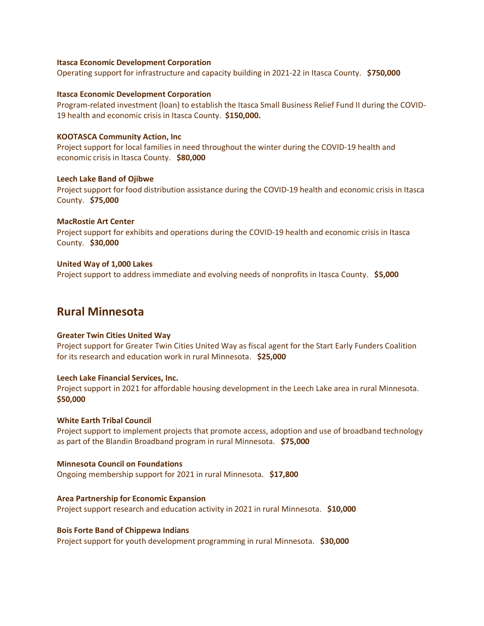#### **Itasca Economic Development Corporation**

Operating support for infrastructure and capacity building in 2021-22 in Itasca County. **\$750,000**

#### **Itasca Economic Development Corporation**

Program-related investment (loan) to establish the Itasca Small Business Relief Fund II during the COVID-19 health and economic crisis in Itasca County. **\$150,000.** 

### **KOOTASCA Community Action, Inc**

Project support for local families in need throughout the winter during the COVID-19 health and economic crisis in Itasca County. **\$80,000**

#### **Leech Lake Band of Ojibwe**

Project support for food distribution assistance during the COVID-19 health and economic crisis in Itasca County. **\$75,000**

#### **MacRostie Art Center**

Project support for exhibits and operations during the COVID-19 health and economic crisis in Itasca County. **\$30,000**

#### **United Way of 1,000 Lakes**

Project support to address immediate and evolving needs of nonprofits in Itasca County. **\$5,000**

## **Rural Minnesota**

#### **Greater Twin Cities United Way**

Project support for Greater Twin Cities United Way as fiscal agent for the Start Early Funders Coalition for its research and education work in rural Minnesota. **\$25,000**

#### **Leech Lake Financial Services, Inc.**

Project support in 2021 for affordable housing development in the Leech Lake area in rural Minnesota. **\$50,000**

#### **White Earth Tribal Council**

Project support to implement projects that promote access, adoption and use of broadband technology as part of the Blandin Broadband program in rural Minnesota. **\$75,000**

## **Minnesota Council on Foundations**

Ongoing membership support for 2021 in rural Minnesota. **\$17,800**

#### **Area Partnership for Economic Expansion**

Project support research and education activity in 2021 in rural Minnesota. **\$10,000**

#### **Bois Forte Band of Chippewa Indians**

Project support for youth development programming in rural Minnesota. **\$30,000**